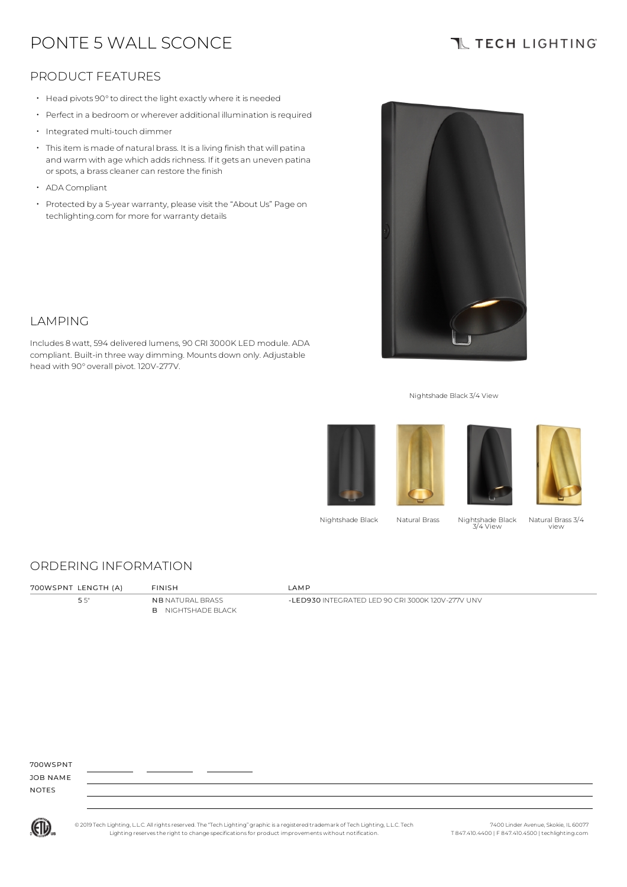# PONTE 5 WALL SCONCE

## **TL TECH LIGHTING**

### PRODUCT FEATURES

- Head pivots 90°to direct the light exactly where it is needed
- Perfect in a bedroom or wherever additional illumination is required
- Integrated multi-touch dimmer
- Thisitem is made of natural brass. It is a living finish that will patina and warm with age which adds richness. If it gets an uneven patina or spots, a brass cleaner can restore the finish
- ADA Compliant

LAMPING

• Protected by a 5-year warranty, please visit the "About Us" Page on techlighting.com for more for warranty details

Includes 8 watt, 594 delivered lumens, 90 CRI 3000K LED module. ADA compliant. Built-in three way dimming. Mounts down only. Adjustable



#### Nightshade Black 3/4 View









Nightshade Black Natural Brass Nightshade Black 3/4 View

Natural Brass 3/4 view

#### ORDERING INFORMATION

head with 90° overall pivot. 120V-277V.

| 700WSPNT LENGTH (A) | <b>FINISH</b> | <b>IAMP</b> |
|---------------------|---------------|-------------|

5 5" NB NATURAL BRASS B NIGHTSHADE BLACK

-LED930 INTEGRATED LED 90 CRI 3000K 120V-277V UNV

700WSPNT

JOB NAME NOTES



© 2019 Tech Lighting, L.L.C. All rightsreserved. The "Tech Lighting" graphicis a registered trademark of Tech Lighting, L.L.C. Tech Lighting reservesthe right to change specificationsfor product improvements without notification.

7400 Linder Avenue, Skokie, IL 60077 T 847.410.4400 | F 847.410.4500 | techlighting.com